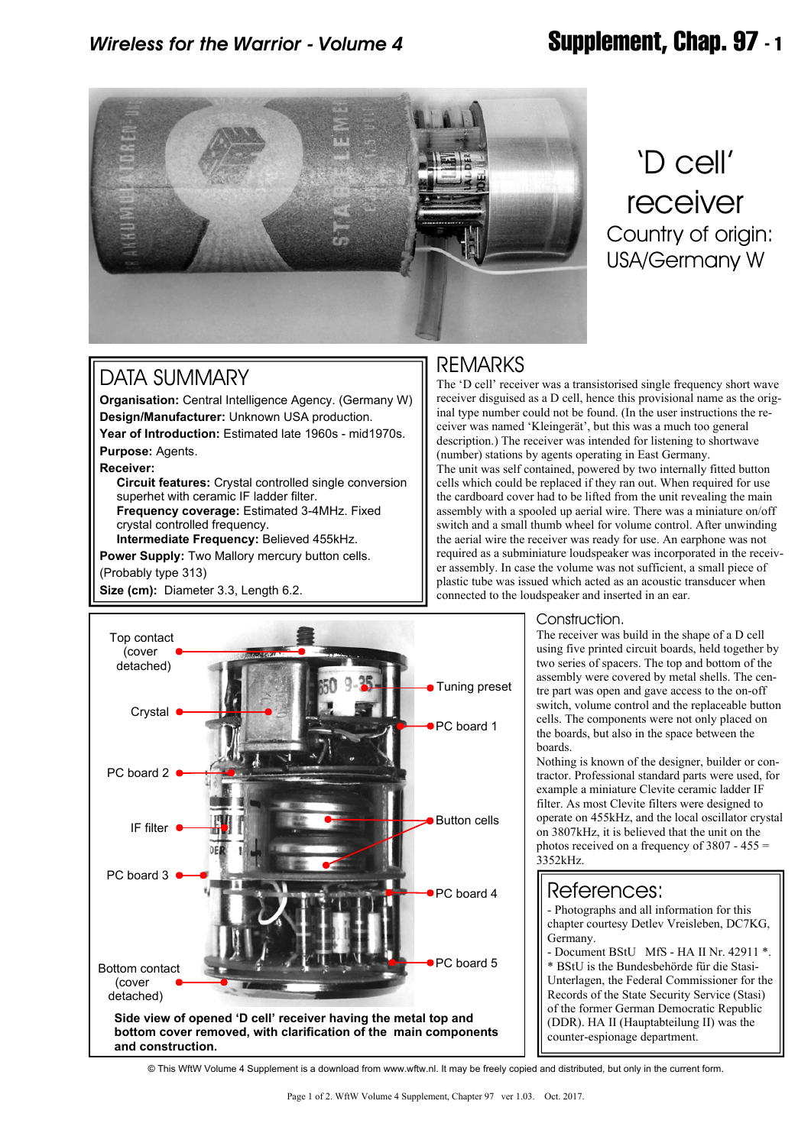## *Wireless for the Warrior - Volume 4* **Supplement, Chap. 97 - 1**



# 'D cell' receiver Country of origin: USA/Germany W

## DATA SUMMARY

**Organisation:** Central Intelligence Agency. (Germany W) **Design/Manufacturer:** Unknown USA production. **Year of Introduction:** Estimated late 1960s - mid1970s. **Purpose:** Agents.

#### **Receiver:**

 **Circuit features:** Crystal controlled single conversion superhet with ceramic IF ladder filter. **Frequency coverage:** Estimated 3-4MHz. Fixed crystal controlled frequency.

**Intermediate Frequency:** Believed 455kHz.

**Power Supply:** Two Mallory mercury button cells.

(Probably type 313)

**Size (cm):** Diameter 3.3, Length 6.2.

## REMARKS

The 'D cell' receiver was a transistorised single frequency short wave receiver disguised as a D cell, hence this provisional name as the original type number could not be found. (In the user instructions the receiver was named 'Kleingerät', but this was a much too general description.) The receiver was intended for listening to shortwave (number) stations by agents operating in East Germany. The unit was self contained, powered by two internally fitted button cells which could be replaced if they ran out. When required for use the cardboard cover had to be lifted from the unit revealing the main assembly with a spooled up aerial wire. There was a miniature on/off switch and a small thumb wheel for volume control. After unwinding the aerial wire the receiver was ready for use. An earphone was not required as a subminiature loudspeaker was incorporated in the receiver assembly. In case the volume was not sufficient, a small piece of plastic tube was issued which acted as an acoustic transducer when connected to the loudspeaker and inserted in an ear.



### Construction.

The receiver was build in the shape of a D cell using five printed circuit boards, held together by two series of spacers. The top and bottom of the assembly were covered by metal shells. The centre part was open and gave access to the on-off switch, volume control and the replaceable button cells. The components were not only placed on the boards, but also in the space between the boards.

Nothing is known of the designer, builder or contractor. Professional standard parts were used, for example a miniature Clevite ceramic ladder IF filter. As most Clevite filters were designed to operate on 455kHz, and the local oscillator crystal on 3807kHz, it is believed that the unit on the photos received on a frequency of 3807 - 455 = 3352kHz.

### References:

- Photographs and all information for this chapter courtesy Detlev Vreisleben, DC7KG, Germany.

- Document BStU MfS - HA II Nr. 42911 \*. \* BStU is the Bundesbehörde für die Stasi-Unterlagen, the Federal Commissioner for the Records of the State Security Service (Stasi) of the former German Democratic Republic (DDR). HA II (Hauptabteilung II) was the counter-espionage department.

© This WftW Volume 4 Supplement is a download from www.wftw.nl. It may be freely copied and distributed, but only in the current form.